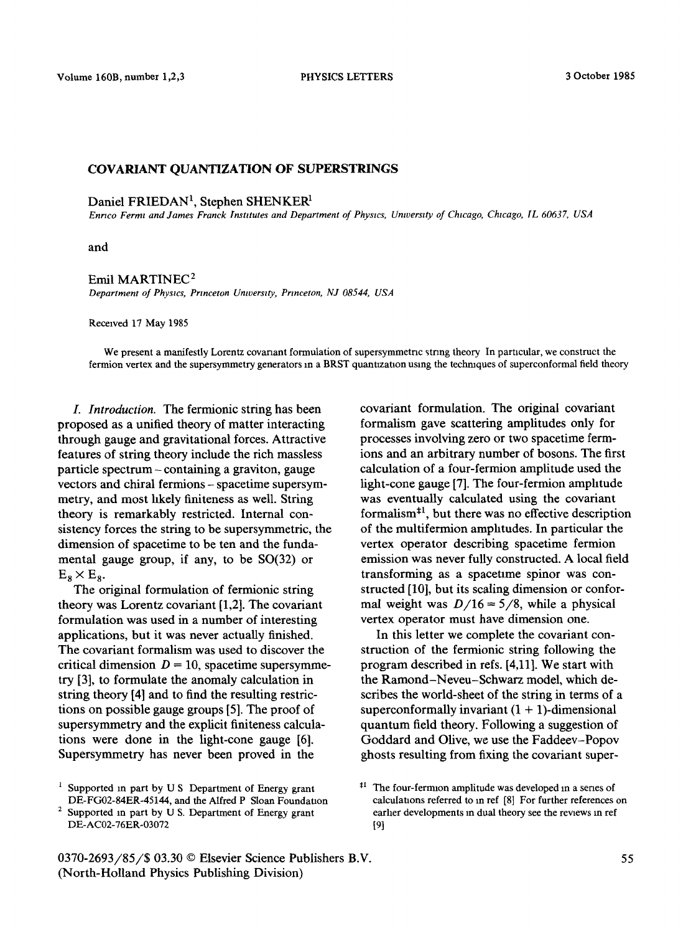## COVARIANT QUANTIZATION OF SUPERSTRINGS

Daniel FRIEDAN<sup>1</sup>, Stephen SHENKER<sup>1</sup>

*Enrzco Ferret and James Franck Instttutes and Department of Physws, Unwerstty of Chicago, Chwago, [L 60637, USA* 

and

## Emil MARTINEC<sup>2</sup>

*Department of Physics, Princeton Unwerstty, Prtnceton, NJ 08544, USA* 

Received 17 May 1985

We present a manifestly Lorentz covanant formulation of supersymmetric string theory In particular, we construct the fermion vertex and the supersymmetry generators in a BRST quantization using the techniques of superconformal field theory

*L Introduction.* The fermionic string has been proposed as a unified theory of matter interacting through gauge and gravitational forces. Attractive features of string theory include the rich massless particle spectrum - containing a graviton, gauge vectors and chiral fermions - spacetime supersymmetry, and most hkely finiteness as well. String theory is remarkably restricted. Internal consistency forces the string to be supersymmetric, the dimension of spacetime to be ten and the fundamental gauge group, if any, to be SO(32) or  $E_8 \times E_8$ .

The original formulation of fermionic string theory was Lorentz covariant [1,2]. The covariant formulation was used in a number of interesting applications, but it was never actually finished. The covariant formalism was used to discover the critical dimension  $D = 10$ , spacetime supersymmetry [3], to formulate the anomaly calculation in string theory [4] and to find the resulting restrictions on possible gauge groups [5]. The proof of supersymmetry and the explicit finiteness calculations were done in the light-cone gauge [6]. Supersymmetry has never been proved in the

<sup>1</sup> Supported in part by U S Department of Energy grant DE-FG02-84ER-45144, and the Alfred P Sloan Foundation covariant formulation. The original covariant formalism gave scattering amplitudes only for processes involving zero or two spacetime fermions and an arbitrary number of bosons. The first calculation of a four-fermion amplitude used the light-cone gauge [7]. The four-fermion amphtude was eventually calculated using the covariant formalism<sup> $+1$ </sup>, but there was no effective description of the multifermion amphtudes. In particular the vertex operator describing spacetime fermion emission was never fully constructed. A local field transforming as a spacetlme spinor was constructed [10], but its scaling dimension or conformal weight was  $D/16 = 5/8$ , while a physical vertex operator must have dimension one.

In this letter we complete the covariant construction of the fermionic string following the program described in refs. [4,11]. We start with the Ramond-Neveu-Schwarz model, which describes the world-sheet of the string in terms of a superconformally invariant  $(1 + 1)$ -dimensional quantum field theory. Following a suggestion of Goddard and Olive, we use the Faddeev-Popov ghosts resulting from fixing the covariant super-

Supported in part by U S. Department of Energy grant DE-AC02-76ER-03072

<sup>&</sup>lt;sup>#1</sup> The four-fermion amplitude was developed in a senes of calculations referred to in ref [8] For further references on earher developments in dual theory see the reviews in ref [9]

<sup>0370-2693/85/\$ 03.30 ©</sup> Elsevier Science Publishers B.V. (North-Holland Physics Publishing Division)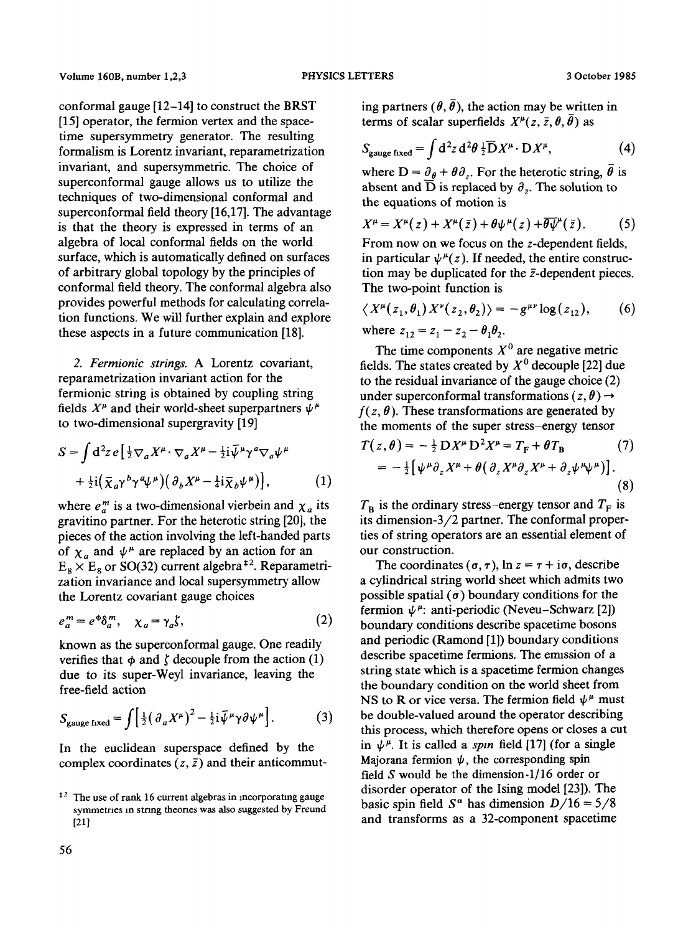conformal gauge [12-14] to construct the BRST [15] operator, the fermion vertex and the spacetime supersymmetry generator. The resulting formalism is Lorentz invariant, reparametrization invariant, and supersymmetric. The choice of superconformal gauge allows us to utilize the techniques of two-dimensional conformal and superconformal field theory [16,17]. The advantage is that the theory is expressed in terms of an algebra of local conformal fields on the world surface, which is automatically defined on surfaces of arbitrary global topology by the principles of conformal field theory. The conformal algebra also provides powerful methods for calculating correlation functions. We will further explain and explore these aspects in a future communication [18].

*2. Fermionic strings,* A Lorentz covariant, reparametrization invariant action for the fermionic string is obtained by coupling string fields  $X^{\mu}$  and their world-sheet superpartners  $\psi^{\mu}$ to two-dimensional supergravity [19]

$$
S = \int d^2 z \, e \left[ \frac{1}{2} \nabla_a X^\mu \cdot \nabla_a X^\mu - \frac{1}{2} i \overline{\psi}^\mu \gamma^a \nabla_a \psi^\mu \right. \\
\left. + \frac{1}{2} i \left( \overline{\chi}_a \gamma^b \gamma^a \psi^\mu \right) \left( \partial_b X^\mu - \frac{1}{4} i \overline{\chi}_b \psi^\mu \right) \right],\n\tag{1}
$$

where  $e_a^m$  is a two-dimensional vierbein and  $\chi_a$  its gravitino partner. For the heterotic string  $[20]$ , the pieces of the action involving the left-handed parts of  $\chi_a$  and  $\psi^{\mu}$  are replaced by an action for an  $E_8 \times E_8$  or SO(32) current algebra<sup>‡2</sup>. Reparametrization invariance and local supersymmetry allow the Lorentz covariant gauge choices

$$
e_a^m = e^{\phi} \delta_a^m, \quad \chi_a = \gamma_a \zeta,\tag{2}
$$

known as the superconformal gauge. One readily verifies that  $\phi$  and  $\zeta$  decouple from the action (1) due to its super-Weyl invariance, leaving the free-field action

$$
S_{\text{gauge fixed}} = \int \left[ \frac{1}{2} \left( \partial_a X^\mu \right)^2 - \frac{1}{2} i \bar{\psi}^\mu \gamma \partial \psi^\mu \right]. \tag{3}
$$

In the euclidean superspace defined by the complex coordinates  $(z, \bar{z})$  and their anticommuting partners ( $\theta$ ,  $\bar{\theta}$ ), the action may be written in terms of scalar superfields  $X^{\mu}(z, \bar{z}, \theta, \bar{\theta})$  as

$$
S_{\text{gauge fixed}} = \int d^2 z \, d^2 \theta \, \frac{1}{2} \overline{D} X^{\mu} \cdot D X^{\mu}, \tag{4}
$$

where  $D = \partial_{\theta} + \theta \partial_{\tau}$ . For the heterotic string,  $\bar{\theta}$  is absent and  $\overline{D}$  is replaced by  $\partial_{\overline{z}}$ . The solution to the equations of motion is

$$
X^{\mu} = X^{\mu}(z) + X^{\mu}(\bar{z}) + \theta \psi^{\mu}(z) + \overline{\theta} \overline{\psi}^{\mu}(\bar{z}). \tag{5}
$$

From now on we focus on the z-dependent fields, in particular  $\psi^{\mu}(z)$ . If needed, the entire construction may be duplicated for the  $\bar{z}$ -dependent pieces. The two-point function is

$$
\langle X^{\mu}(z_1,\theta_1) X^{\nu}(z_2,\theta_2) \rangle = -g^{\mu\nu} \log(z_{12}), \qquad (6)
$$
  
where  $z_{12} = z_1 - z_2 - \theta_1 \theta_2$ .

The time components  $X^0$  are negative metric fields. The states created by  $X^0$  decouple [22] due to the residual invariance of the gauge choice (2) under superconformal transformations  $(z, \theta) \rightarrow$  $f(z, \theta)$ . These transformations are generated by the moments of the super stress-energy tensor  $T(z,\theta) = -\frac{1}{2} D X^{\mu} D^{2} X^{\mu} = T_{\nu} + \theta T_{\nu}$  (7)

$$
= -\frac{1}{2} \left[ \psi^{\mu} \partial_z X^{\mu} + \theta \left( \partial_z X^{\mu} \partial_z X^{\mu} + \partial_z \psi^{\mu} \psi^{\mu} \right) \right]. \tag{8}
$$

 $T_B$  is the ordinary stress-energy tensor and  $T_F$  is its dimension-3/2 partner. The conformal properties of string operators are an essential element of our construction.

The coordinates ( $\sigma$ ,  $\tau$ ),  $\ln z = \tau + i\sigma$ , describe a cylindrical string world sheet which admits two possible spatial  $\sigma$ ) boundary conditions for the fermion  $\psi^{\mu}$ : anti-periodic (Neveu-Schwarz [2]) boundary conditions describe spacetime bosons and periodic (Ramond [1]) boundary conditions describe spacetime fermions. The emission of a string state which is a spacetime fermion changes the boundary condition on the world sheet from NS to R or vice versa. The fermion field  $\psi^{\mu}$  must be double-valued around the operator describing this process, which therefore opens or closes a cut in  $\psi^{\mu}$ . It is called a *spin* field [17] (for a single Majorana fermion  $\psi$ , the corresponding spin field S would be the dimension-I/16 order or disorder operator of the Ising model [23]). The basic spin field  $S^{\alpha}$  has dimension  $D/16 = 5/8$ and transforms as a 32-component spacetime

 $\frac{12}{2}$  The use of rank 16 current algebras in incorporating gauge symmetries in string theories was also suggested by Freund [21]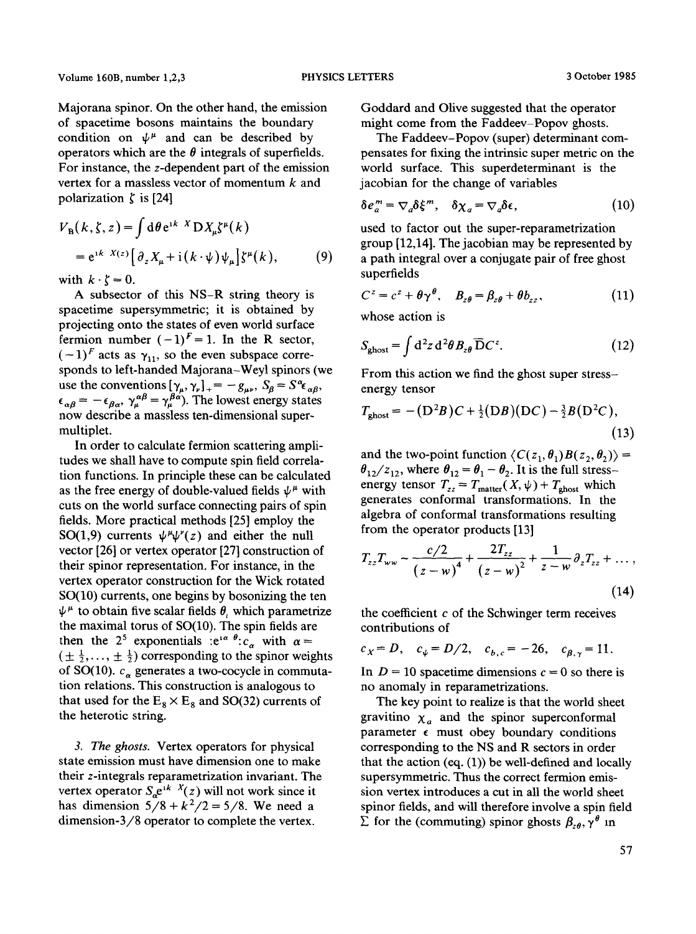Majorana spinor. On the other hand, the emission of spacetime bosons maintains the boundary condition on  $\psi^{\mu}$  and can be described by operators which are the  $\theta$  integrals of superfields. For instance, the z-dependent part of the emission vertex for a massless vector of momentum  $k$  and polarization  $\zeta$  is [24]

$$
V_{\mathbf{B}}(k,\zeta,z) = \int d\theta e^{i k X} \mathbf{D} X_{\mu} \zeta^{\mu}(k)
$$
  
=  $e^{i k X(z)} \left[ \partial_z X_{\mu} + i (k \cdot \psi) \psi_{\mu} \right] \zeta^{\mu}(k),$  (9)

with  $k \cdot \zeta = 0$ .

A subsector of this NS-R string theory is spacetime supersymmetric; it is obtained by projecting onto the states of even world surface fermion number  $(-1)^F = 1$ . In the R sector,  $(-1)^F$  acts as  $\gamma_{11}$ , so the even subspace corresponds to left-handed Majorana-Weyl spinors (we use the conventions  $[\gamma_{\mu}, \gamma_{\nu}]_{+} = -g_{\mu\nu}, S_{\beta} = S^{\alpha} \epsilon_{\alpha\beta},$  $\epsilon_{\alpha\beta} = -\epsilon_{\beta\alpha}, \gamma_{\mu}^{\alpha\beta} = \gamma_{\mu}^{\beta\alpha}$ . The lowest energy states now describe a massless ten-dimensional supermultiplet.

In order to calculate fermion scattering amplitudes we shall have to compute spin field correlation functions. In principle these can be calculated as the free energy of double-valued fields  $\psi^{\mu}$  with cuts on the world surface connecting pairs of spin fields. More practical methods [25] employ the SO(1,9) currents  $\psi^{\mu} \psi^{\nu}(z)$  and either the null vector [26] or vertex operator [27] construction of their spinor representation. For instance, in the vertex operator construction for the Wick rotated SO(10) currents, one begins by bosonizing the ten  $\psi^{\mu}$  to obtain five scalar fields  $\theta$ , which parametrize the maximal torus of SO(10). The spin fields are then the 2<sup>5</sup> exponentials : $e^{i\alpha \theta}$ :  $c_{\alpha}$  with  $\alpha =$  $(\pm \frac{1}{2}, \ldots, \pm \frac{1}{2})$  corresponding to the spinor weights of SO(10).  $c_{\alpha}$  generates a two-cocycle in commutation relations. This construction is analogous to that used for the  $E_8 \times E_8$  and SO(32) currents of the heterotic string.

*3. The ghosts.* Vertex operators for physical state emission must have dimension one to make their z-integrals reparametrization invariant. The vertex operator  $S_e e^{ikX}(z)$  will not work since it has dimension  $5/8 + k^2/2 = 5/8$ . We need a dimension-3/8 operator to complete the vertex.

Goddard and Olive suggested that the operator might come from the Faddeev-Popov ghosts.

The Faddeev-Popov (super) determinant compensates for fixing the intrinsic super metric on the world surface. This superdeterminant is the jacobian for the change of variables

$$
\delta e_a^m = \nabla_a \delta \xi^m, \quad \delta \chi_a = \nabla_a \delta \epsilon,\tag{10}
$$

used to factor out the super-reparametrization group [12,14]. The jacobian may be represented by a path integral over a conjugate pair of free ghost superfields

$$
C^{z} = c^{z} + \theta \gamma^{\theta}, \quad B_{z\theta} = \beta_{z\theta} + \theta b_{zz}, \tag{11}
$$

whose action is

$$
S_{\text{ghost}} = \int d^2 z \, d^2 \theta \, B_{z\theta} \, \overline{\mathbf{D}} C^z. \tag{12}
$$

From this action we find the ghost super stressenergy tensor

$$
T_{\text{ghost}} = - (D^2 B)C + \frac{1}{2} (DB) (DC) - \frac{3}{2} B (D^2 C),
$$
\n(13)

and the two-point function  $\langle C(z_1, \theta_1)B(z_2, \theta_2) \rangle =$  $\theta_{12}/z_{12}$ , where  $\theta_{12} = \theta_1 - \theta_2$ . It is the full stressenergy tensor  $T_{zz} = T_{\text{matter}}(X, \psi) + T_{\text{ghost}}$  which generates conformal transformations. In the algebra of conformal transformations resulting from the operator products [13]

$$
T_{zz}T_{ww} \sim \frac{c/2}{(z-w)^4} + \frac{2T_{zz}}{(z-w)^2} + \frac{1}{z-w} \partial_z T_{zz} + \dots,
$$
\n(14)

the coefficient  $c$  of the Schwinger term receives contributions of

$$
c_X = D
$$
,  $c_{\psi} = D/2$ ,  $c_{b,c} = -26$ ,  $c_{\beta,\gamma} = 11$ .

In  $D = 10$  spacetime dimensions  $c = 0$  so there is no anomaly in reparametrizations.

The key point to realize is that the world sheet gravitino  $\chi_a$  and the spinor superconformal parameter  $\epsilon$  must obey boundary conditions corresponding to the NS and R sectors in order that the action  $(eq. (1))$  be well-defined and locally supersymmetric. Thus the correct fermion emission vertex introduces a cut in all the world sheet spinor fields, and will therefore involve a spin field  $\sum$  for the (commuting) spinor ghosts  $\beta_{z\theta}$ ,  $\gamma^{\theta}$  in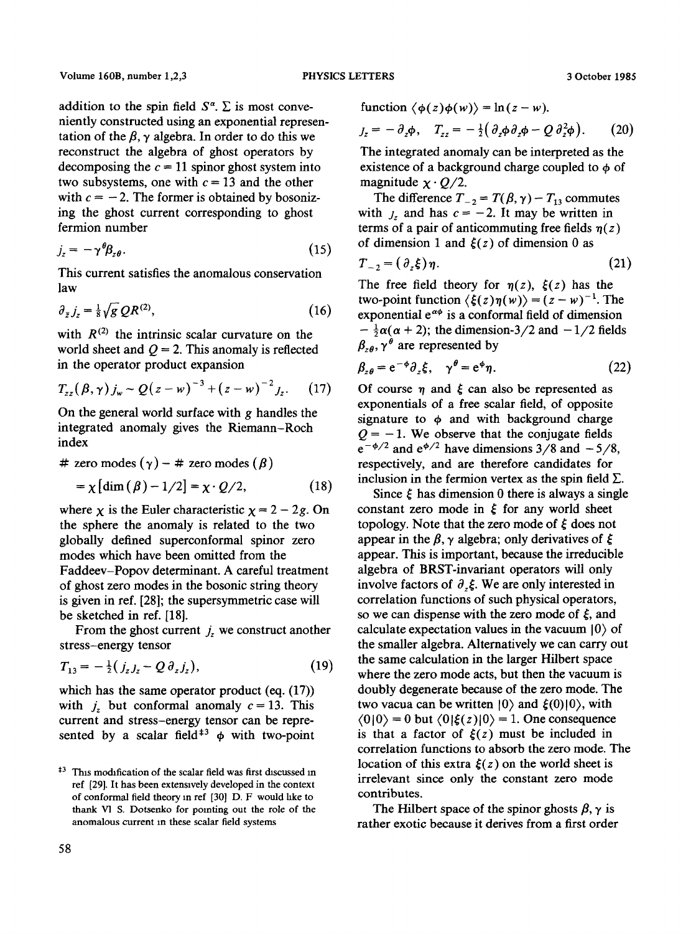addition to the spin field  $S^{\alpha}$ .  $\Sigma$  is most conveniently constructed using an exponential representation of the  $\beta$ ,  $\gamma$  algebra. In order to do this we reconstruct the algebra of ghost operators by decomposing the  $c = 11$  spinor ghost system into two subsystems, one with  $c = 13$  and the other with  $c = -2$ . The former is obtained by bosonizing the ghost current corresponding to ghost fermion number

$$
j_z = -\gamma^{\theta} \beta_{z\theta}.
$$
 (15)

This current satisfies the anomalous conservation law

$$
\partial_{\bar{z}}j_z = \frac{1}{8}\sqrt{g} \, QR^{(2)},\tag{16}
$$

with  $R^{(2)}$  the intrinsic scalar curvature on the world sheet and  $Q = 2$ . This anomaly is reflected in the operator product expansion

$$
T_{zz}(\beta, \gamma) j_w \sim Q(z-w)^{-3} + (z-w)^{-2} j_z. \quad (17)
$$

On the general world surface with g handles the integrated anomaly gives the Riemann-Roch index

# zero modes 
$$
(\gamma)
$$
 – # zero modes  $(\beta)$ 

$$
= \chi \left[ \dim \left( \beta \right) - 1/2 \right] = \chi \cdot Q/2, \tag{18}
$$

where  $\chi$  is the Euler characteristic  $\chi = 2 - 2g$ . On the sphere the anomaly is related to the two globally defined superconformal spinor zero modes which have been omitted from the Faddeev-Popov determinant. A careful treatment of ghost zero modes in the bosonic string theory is given in ref. [28]; the supersymmetric case will be sketched in ref. [18].

From the ghost current  $j_z$  we construct another stress-energy tensor

$$
T_{13} = -\frac{1}{2} (j_z J_z - Q \, \partial_z J_z), \tag{19}
$$

which has the same operator product (eq.  $(17)$ ) with  $j_z$  but conformal anomaly  $c = 13$ . This current and stress-energy tensor can be represented by a scalar field<sup>#3</sup>  $\phi$  with two-point

$$
J_z = -\partial_z \phi, \quad T_{zz} = -\frac{1}{2} \big( \partial_z \phi \partial_z \phi - Q \partial_z^2 \phi \big). \tag{20}
$$

The integrated anomaly can be interpreted as the existence of a background charge coupled to  $\phi$  of magnitude  $\chi \cdot Q/2$ .

The difference  $T_{-2} = T(\beta, \gamma) - T_{13}$  commutes with  $j_z$  and has  $c = -2$ . It may be written in terms of a pair of anticommuting free fields  $\eta(z)$ of dimension 1 and  $\xi(z)$  of dimension 0 as

$$
T_{-2} = (\partial_z \xi) \eta. \tag{21}
$$

The free field theory for  $\eta(z)$ ,  $\xi(z)$  has the two-point function  $\langle \xi(z)\eta(w) \rangle = (z - w)^{-1}$ . The exponential  $e^{\alpha\phi}$  is a conformal field of dimension  $-\frac{1}{2}\alpha(\alpha + 2)$ ; the dimension-3/2 and  $-1/2$  fields  $\beta_{\zeta\theta}$ ,  $\gamma^{\theta}$  are represented by

$$
\beta_{z\theta} = e^{-\phi}\partial_z \xi, \quad \gamma^{\theta} = e^{\phi}\eta. \tag{22}
$$

Of course  $\eta$  and  $\xi$  can also be represented as exponentials of a free scalar field, of opposite signature to  $\phi$  and with background charge  $Q = -1$ . We observe that the conjugate fields  $e^{-\phi/2}$  and  $e^{\phi/2}$  have dimensions 3/8 and  $-5/8$ , respectively, and are therefore candidates for inclusion in the fermion vertex as the spin field  $\Sigma$ .

Since  $\xi$  has dimension 0 there is always a single constant zero mode in  $\zeta$  for any world sheet topology. Note that the zero mode of  $\zeta$  does not appear in the  $\beta$ ,  $\gamma$  algebra; only derivatives of  $\xi$ appear. This is important, because the irreducible algebra of BRST-invariant operators will only involve factors of  $\partial \xi$ . We are only interested in correlation functions of such physical operators, so we can dispense with the zero mode of  $\xi$ , and calculate expectation values in the vacuum  $|0\rangle$  of the smaller algebra. Alternatively we can carry out the same calculation in the larger Hilbert space where the zero mode acts, but then the vacuum is doubly degenerate because of the zero mode. The two vacua can be written  $|0\rangle$  and  $\xi(0)|0\rangle$ , with  $\langle 0|0 \rangle = 0$  but  $\langle 0|\xi(z)|0 \rangle = 1$ . One consequence is that a factor of  $\xi(z)$  must be included in correlation functions to absorb the zero mode. The location of this extra  $\xi(z)$  on the world sheet is irrelevant since only the constant zero mode contributes.

The Hilbert space of the spinor ghosts  $\beta$ ,  $\gamma$  is rather exotic because it derives from a first order

<sup>&</sup>lt;sup>#3</sup> This modification of the scalar field was first discussed in ref [29]. It has been extensively developed in the context of conformal field theory m ref [30] D. F would hke to thank Vl S. Dotsenko for pointing out the role of the anomalous current in these scalar field systems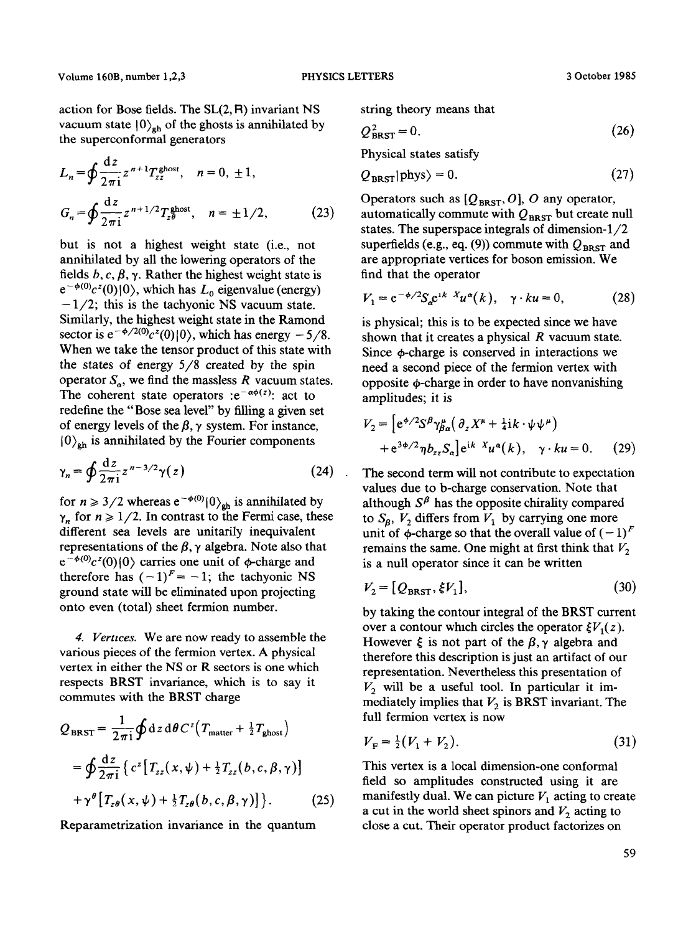action for Bose fields. The  $SL(2, R)$  invariant NS vacuum state  $|0\rangle_{\rm gh}$  of the ghosts is annihilated by the superconformal generators

$$
L_n = \oint \frac{dz}{2\pi i} z^{n+1} T_{zz}^{\text{ghost}}, \quad n = 0, \pm 1,
$$
  

$$
G_n = \oint \frac{dz}{2\pi i} z^{n+1/2} T_{z\theta}^{\text{ghost}}, \quad n = \pm 1/2,
$$
 (23)

but is not a highest weight state (i.e., not annihilated by all the lowering operators of the fields  $b, c, \beta, \gamma$ . Rather the highest weight state is  $e^{-\phi(0)}c^{z}(0)$  | 0), which has  $L_0$  eigenvalue (energy) **-1/2;** this is the tachyonic NS vacuum state. Similarly, the highest weight state in the Ramond sector is  $e^{-\phi/2(0)}c^2(0)|0\rangle$ , which has energy  $-5/8$ . When we take the tensor product of this state with the states of energy 5/8 created by the spin operator  $S_{\alpha}$ , we find the massless R vacuum states. The coherent state operators : $e^{-\alpha\phi(z)}$ : act to redefine the "Bose sea level" by filling a given set of energy levels of the  $\beta$ ,  $\gamma$  system. For instance,  $|0\rangle_{\rm gh}$  is annihilated by the Fourier components

$$
\gamma_n = \oint \frac{\mathrm{d}z}{2\pi i} z^{n-3/2} \gamma(z) \tag{24}
$$

for  $n \ge 3/2$  whereas  $e^{-\phi(0)}(0)_{gh}$  is annihilated by  $\gamma_n$  for  $n \geq 1/2$ . In contrast to the Fermi case, these different sea levels are unitarily inequivalent representations of the  $\beta$ ,  $\gamma$  algebra. Note also that  $e^{-\phi(0)}c^2(0)|0\rangle$  carries one unit of  $\phi$ -charge and therefore has  $(-1)^F = -1$ ; the tachyonic NS ground state will be eliminated upon projecting onto even (total) sheet fermion number.

*4. Verttces.* We are now ready to assemble the various pieces of the fermion vertex. A physical vertex in either the NS or R sectors is one which respects BRST invariance, which is to say it commutes with the BRST charge

$$
Q_{\text{BRST}} = \frac{1}{2\pi i} \oint dz \, d\theta \, C^z \big( T_{\text{matter}} + \frac{1}{2} T_{\text{ghost}} \big)
$$
  
= 
$$
\oint \frac{dz}{2\pi i} \left\{ c^z \big[ T_{zz}(x, \psi) + \frac{1}{2} T_{zz}(b, c, \beta, \gamma) \big] + \gamma^{\theta} \big[ T_{z\theta}(x, \psi) + \frac{1}{2} T_{z\theta}(b, c, \beta, \gamma) \big] \right\}. \tag{25}
$$

Reparametrization invariance in the quantum

string theory means that

$$
Q_{\text{BRST}}^2 = 0. \tag{26}
$$

Physical states satisfy

$$
Q_{\text{BRST}}|\text{phys}\rangle = 0. \tag{27}
$$

Operators such as  $[Q_{\text{BRST}}, O]$ , O any operator, automatically commute with  $Q_{\text{BRST}}$  but create null states. The superspace integrals of dimension-I/2 superfields (e.g., eq. (9)) commute with  $Q_{BRST}$  and are appropriate vertices for boson emission. We find that the operator

$$
V_1 = e^{-\phi/2} S_a e^{ikX} u^a(k), \quad \gamma \cdot ku = 0, \tag{28}
$$

is physical; this is to be expected since we have shown that it creates a physical  $R$  vacuum state. Since  $\phi$ -charge is conserved in interactions we need a second piece of the fermion vertex with opposite  $\phi$ -charge in order to have nonvanishing amplitudes; it is

$$
V_2 = \left[ e^{\phi/2} S^{\beta} \gamma_{\beta\alpha}^{\mu} \left( \partial_z X^{\mu} + \frac{1}{4} i k \cdot \psi \psi^{\mu} \right) + e^{3\phi/2} \eta b_{zz} S_{\alpha} \right] e^{ik \cdot X} u^{\alpha}(k), \quad \gamma \cdot ku = 0. \tag{29}
$$

The second term will not contribute to expectation values due to b-charge conservation. Note that although  $S^{\beta}$  has the opposite chirality compared to  $S_8$ ,  $V_2$  differs from  $V_1$  by carrying one more unit of  $\phi$ -charge so that the overall value of  $(-1)^F$ remains the same. One might at first think that  $V_2$ is a null operator since it can be written

$$
V_2 = [Q_{\text{BRST}}, \xi V_1], \tag{30}
$$

by taking the contour integral of the BRST current over a contour which circles the operator  $\zeta V_1(z)$ . However  $\xi$  is not part of the  $\beta$ ,  $\gamma$  algebra and therefore this description is just an artifact of our representation. Nevertheless this presentation of  $V_2$  will be a useful tool. In particular it immediately implies that  $V_2$  is BRST invariant. The full fermion vertex is now

$$
V_{\rm F} = \frac{1}{2}(V_1 + V_2). \tag{31}
$$

This vertex is a local dimension-one conformal field so amplitudes constructed using it are manifestly dual. We can picture  $V_1$  acting to create a cut in the world sheet spinors and  $V_2$  acting to close a cut. Their operator product factorizes on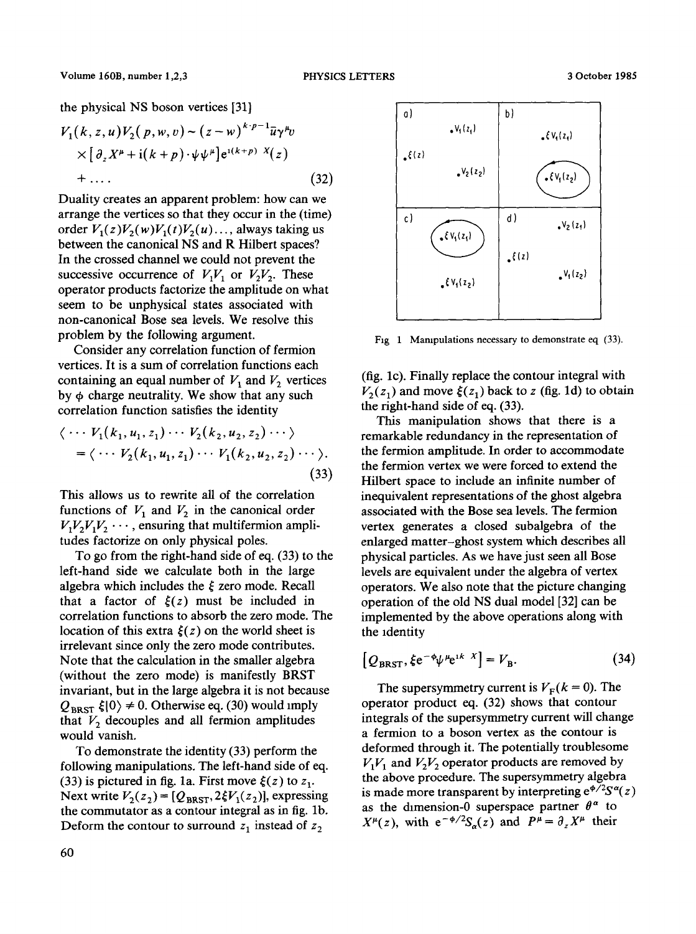the physical NS boson vertices [31]

$$
V_1(k, z, u)V_2(p, w, v) \sim (z-w)^{k\cdot p-1}\overline{u}\gamma^{\mu}v
$$
  
 
$$
\times [\partial_z X^{\mu} + i(k+p)\cdot \psi \psi^{\mu}]e^{i(k+p) X}(z)
$$
  
+ ... (32)

Duality creates an apparent problem: how can we arrange the vertices so that they occur in the (time) order  $V_1(z)V_2(w)V_1(t)V_2(u) \dots$ , always taking us between the canonical NS and R Hilbert spaces? In the crossed channel we could not prevent the successive occurrence of  $V_1V_1$  or  $V_2V_2$ . These operator products factorize the amplitude on what seem to be unphysical states associated with non-canonical Bose sea levels. We resolve this problem by the following argument.

Consider any correlation function of fermion vertices. It is a sum of correlation functions each containing an equal number of  $V_1$  and  $V_2$  vertices by  $\phi$  charge neutrality. We show that any such correlation function satisfies the identity

$$
\langle \cdots V_1(k_1, u_1, z_1) \cdots V_2(k_2, u_2, z_2) \cdots \rangle
$$
  
=  $\langle \cdots V_2(k_1, u_1, z_1) \cdots V_1(k_2, u_2, z_2) \cdots \rangle.$  (33)

This allows us to rewrite all of the correlation functions of  $V_1$  and  $V_2$  in the canonical order  $V_1V_2V_1V_2\cdots$ , ensuring that multifermion amplitudes factorize on only physical poles.

To go from the right-hand side of eq. (33) to the left-hand side we calculate both in the large algebra which includes the  $\xi$  zero mode. Recall that a factor of  $\xi(z)$  must be included in correlation functions to absorb the zero mode. The location of this extra  $\xi(z)$  on the world sheet is irrelevant since only the zero mode contributes. Note that the calculation in the smaller algebra (without the zero mode) is manifestly BRST invariant, but in the large algebra it is not because  $Q_{\text{BRST}} \xi |0\rangle \neq 0$ . Otherwise eq. (30) would imply that  $V_2$  decouples and all fermion amplitudes would vanish.

To demonstrate the identity (33) perform the following manipulations. The left-hand side of eq. (33) is pictured in fig. 1a. First move  $\xi(z)$  to  $z_1$ . Next write  $V_2(z_2) = [Q_{\text{BRST}}, 2\xi V_1(z_2)]$ , expressing the commutator as a contour integral as in fig. lb. Deform the contour to surround  $z_1$  instead of  $z_2$ 



Fig 1 Manupulations necessary to demonstrate eq (33).

(fig. lc). Finally replace the contour integral with  $V_2(z_1)$  and move  $\xi(z_1)$  back to z (fig. 1d) to obtain the fight-hand side of eq. (33).

This manipulation shows that there is a remarkable redundancy in the representation of the fermion amplitude. In order to accommodate the fermion vertex we were forced to extend the Hilbert space to include an infinite number of inequivalent representations of the ghost algebra associated with the Bose sea levels. The fermion vertex generates a closed subalgebra of the enlarged matter-ghost system which describes all physical particles. As we have just seen all Bose levels are equivalent under the algebra of vertex operators. We also note that the picture changing operation of the old NS dual model [32] can be implemented by the above operations along with the identity

$$
[Q_{\text{BRST}}, \xi e^{-\phi} \psi^{\mu} e^{ik} \chi] = V_{\text{B}}.
$$
 (34)

The supersymmetry current is  $V_F(k = 0)$ . The operator product eq. (32) shows that contour integrals of the supersymmetry current will change a fermion to a boson vertex as the contour is deformed through it. The potentially troublesome  $V_1V_1$  and  $V_2V_2$  operator products are removed by the above procedure. The supersymmetry algebra is made more transparent by interpreting  $e^{\phi/2}S^{\alpha}(z)$ as the dimension-0 superspace partner  $\theta^{\alpha}$  to  $X^{\mu}(z)$ , with  $e^{-\phi/2}S_{\alpha}(z)$  and  $P^{\mu}=\partial_{z}X^{\mu}$  their